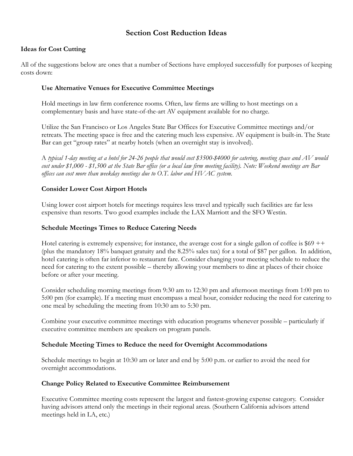# **Section Cost Reduction Ideas**

# **Ideas for Cost Cutting**

All of the suggestions below are ones that a number of Sections have employed successfully for purposes of keeping costs down:

#### **Use Alternative Venues for Executive Committee Meetings**

Hold meetings in law firm conference rooms. Often, law firms are willing to host meetings on a complementary basis and have state-of-the-art AV equipment available for no charge.

Utilize the San Francisco or Los Angeles State Bar Offices for Executive Committee meetings and/or retreats. The meeting space is free and the catering much less expensive. AV equipment is built-in. The State Bar can get "group rates" at nearby hotels (when an overnight stay is involved).

A *typical 1-day meeting at a hotel for 24-26 people that would cost \$3500-\$4000 for catering, meeting space and AV would cost under \$1,000 - \$1,500 at the State Bar office (or a local law firm meeting facility). Note: Weekend meetings are Bar offices can cost more than weekday meetings due to O.T. labor and HVAC system.*

## **Consider Lower Cost Airport Hotels**

Using lower cost airport hotels for meetings requires less travel and typically such facilities are far less expensive than resorts. Two good examples include the LAX Marriott and the SFO Westin.

#### **Schedule Meetings Times to Reduce Catering Needs**

Hotel catering is extremely expensive; for instance, the average cost for a single gallon of coffee is  $$69$  ++ (plus the mandatory 18% banquet gratuity and the 8.25% sales tax) for a total of \$87 per gallon. In addition, hotel catering is often far inferior to restaurant fare. Consider changing your meeting schedule to reduce the need for catering to the extent possible – thereby allowing your members to dine at places of their choice before or after your meeting.

Consider scheduling morning meetings from 9:30 am to 12:30 pm and afternoon meetings from 1:00 pm to 5:00 pm (for example). If a meeting must encompass a meal hour, consider reducing the need for catering to one meal by scheduling the meeting from 10:30 am to 5:30 pm.

Combine your executive committee meetings with education programs whenever possible – particularly if executive committee members are speakers on program panels.

#### **Schedule Meeting Times to Reduce the need for Overnight Accommodations**

Schedule meetings to begin at 10:30 am or later and end by 5:00 p.m. or earlier to avoid the need for overnight accommodations.

#### **Change Policy Related to Executive Committee Reimbursement**

Executive Committee meeting costs represent the largest and fastest-growing expense category. Consider having advisors attend only the meetings in their regional areas. (Southern California advisors attend meetings held in LA, etc.)